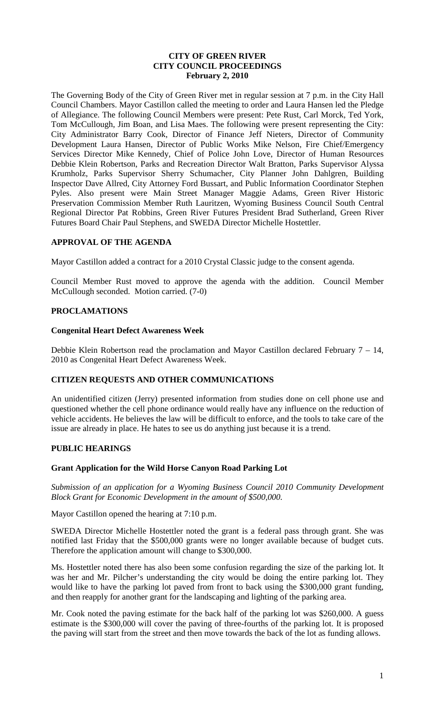## **CITY OF GREEN RIVER CITY COUNCIL PROCEEDINGS February 2, 2010**

The Governing Body of the City of Green River met in regular session at 7 p.m. in the City Hall Council Chambers. Mayor Castillon called the meeting to order and Laura Hansen led the Pledge of Allegiance. The following Council Members were present: Pete Rust, Carl Morck, Ted York, Tom McCullough, Jim Boan, and Lisa Maes. The following were present representing the City: City Administrator Barry Cook, Director of Finance Jeff Nieters, Director of Community Development Laura Hansen, Director of Public Works Mike Nelson, Fire Chief/Emergency Services Director Mike Kennedy, Chief of Police John Love, Director of Human Resources Debbie Klein Robertson, Parks and Recreation Director Walt Bratton, Parks Supervisor Alyssa Krumholz, Parks Supervisor Sherry Schumacher, City Planner John Dahlgren, Building Inspector Dave Allred, City Attorney Ford Bussart, and Public Information Coordinator Stephen Pyles. Also present were Main Street Manager Maggie Adams, Green River Historic Preservation Commission Member Ruth Lauritzen, Wyoming Business Council South Central Regional Director Pat Robbins, Green River Futures President Brad Sutherland, Green River Futures Board Chair Paul Stephens, and SWEDA Director Michelle Hostettler.

## **APPROVAL OF THE AGENDA**

Mayor Castillon added a contract for a 2010 Crystal Classic judge to the consent agenda.

Council Member Rust moved to approve the agenda with the addition. Council Member McCullough seconded. Motion carried. (7-0)

## **PROCLAMATIONS**

## **Congenital Heart Defect Awareness Week**

Debbie Klein Robertson read the proclamation and Mayor Castillon declared February 7 – 14, 2010 as Congenital Heart Defect Awareness Week.

## **CITIZEN REQUESTS AND OTHER COMMUNICATIONS**

An unidentified citizen (Jerry) presented information from studies done on cell phone use and questioned whether the cell phone ordinance would really have any influence on the reduction of vehicle accidents. He believes the law will be difficult to enforce, and the tools to take care of the issue are already in place. He hates to see us do anything just because it is a trend.

## **PUBLIC HEARINGS**

#### **Grant Application for the Wild Horse Canyon Road Parking Lot**

*Submission of an application for a Wyoming Business Council 2010 Community Development Block Grant for Economic Development in the amount of \$500,000.*

Mayor Castillon opened the hearing at 7:10 p.m.

SWEDA Director Michelle Hostettler noted the grant is a federal pass through grant. She was notified last Friday that the \$500,000 grants were no longer available because of budget cuts. Therefore the application amount will change to \$300,000.

Ms. Hostettler noted there has also been some confusion regarding the size of the parking lot. It was her and Mr. Pilcher's understanding the city would be doing the entire parking lot. They would like to have the parking lot paved from front to back using the \$300,000 grant funding, and then reapply for another grant for the landscaping and lighting of the parking area.

Mr. Cook noted the paving estimate for the back half of the parking lot was \$260,000. A guess estimate is the \$300,000 will cover the paving of three-fourths of the parking lot. It is proposed the paving will start from the street and then move towards the back of the lot as funding allows.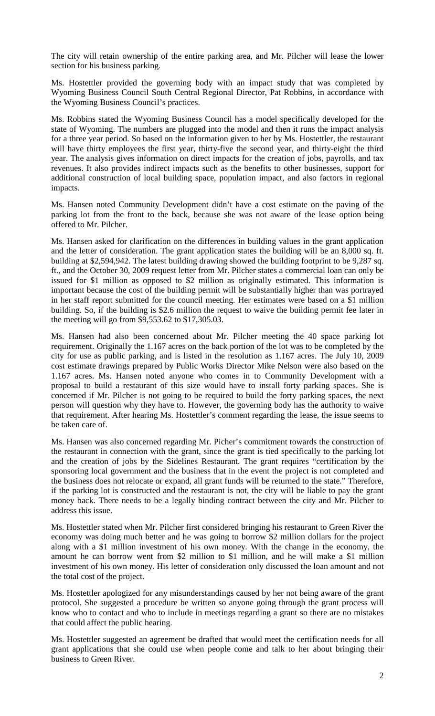The city will retain ownership of the entire parking area, and Mr. Pilcher will lease the lower section for his business parking.

Ms. Hostettler provided the governing body with an impact study that was completed by Wyoming Business Council South Central Regional Director, Pat Robbins, in accordance with the Wyoming Business Council's practices.

Ms. Robbins stated the Wyoming Business Council has a model specifically developed for the state of Wyoming. The numbers are plugged into the model and then it runs the impact analysis for a three year period. So based on the information given to her by Ms. Hostettler, the restaurant will have thirty employees the first year, thirty-five the second year, and thirty-eight the third year. The analysis gives information on direct impacts for the creation of jobs, payrolls, and tax revenues. It also provides indirect impacts such as the benefits to other businesses, support for additional construction of local building space, population impact, and also factors in regional impacts.

Ms. Hansen noted Community Development didn't have a cost estimate on the paving of the parking lot from the front to the back, because she was not aware of the lease option being offered to Mr. Pilcher.

Ms. Hansen asked for clarification on the differences in building values in the grant application and the letter of consideration. The grant application states the building will be an 8,000 sq. ft. building at \$2,594,942. The latest building drawing showed the building footprint to be 9,287 sq. ft., and the October 30, 2009 request letter from Mr. Pilcher states a commercial loan can only be issued for \$1 million as opposed to \$2 million as originally estimated. This information is important because the cost of the building permit will be substantially higher than was portrayed in her staff report submitted for the council meeting. Her estimates were based on a \$1 million building. So, if the building is \$2.6 million the request to waive the building permit fee later in the meeting will go from \$9,553.62 to \$17,305.03.

Ms. Hansen had also been concerned about Mr. Pilcher meeting the 40 space parking lot requirement. Originally the 1.167 acres on the back portion of the lot was to be completed by the city for use as public parking, and is listed in the resolution as 1.167 acres. The July 10, 2009 cost estimate drawings prepared by Public Works Director Mike Nelson were also based on the 1.167 acres. Ms. Hansen noted anyone who comes in to Community Development with a proposal to build a restaurant of this size would have to install forty parking spaces. She is concerned if Mr. Pilcher is not going to be required to build the forty parking spaces, the next person will question why they have to. However, the governing body has the authority to waive that requirement. After hearing Ms. Hostettler's comment regarding the lease, the issue seems to be taken care of.

Ms. Hansen was also concerned regarding Mr. Picher's commitment towards the construction of the restaurant in connection with the grant, since the grant is tied specifically to the parking lot and the creation of jobs by the Sidelines Restaurant. The grant requires "certification by the sponsoring local government and the business that in the event the project is not completed and the business does not relocate or expand, all grant funds will be returned to the state." Therefore, if the parking lot is constructed and the restaurant is not, the city will be liable to pay the grant money back. There needs to be a legally binding contract between the city and Mr. Pilcher to address this issue.

Ms. Hostettler stated when Mr. Pilcher first considered bringing his restaurant to Green River the economy was doing much better and he was going to borrow \$2 million dollars for the project along with a \$1 million investment of his own money. With the change in the economy, the amount he can borrow went from \$2 million to \$1 million, and he will make a \$1 million investment of his own money. His letter of consideration only discussed the loan amount and not the total cost of the project.

Ms. Hostettler apologized for any misunderstandings caused by her not being aware of the grant protocol. She suggested a procedure be written so anyone going through the grant process will know who to contact and who to include in meetings regarding a grant so there are no mistakes that could affect the public hearing.

Ms. Hostettler suggested an agreement be drafted that would meet the certification needs for all grant applications that she could use when people come and talk to her about bringing their business to Green River.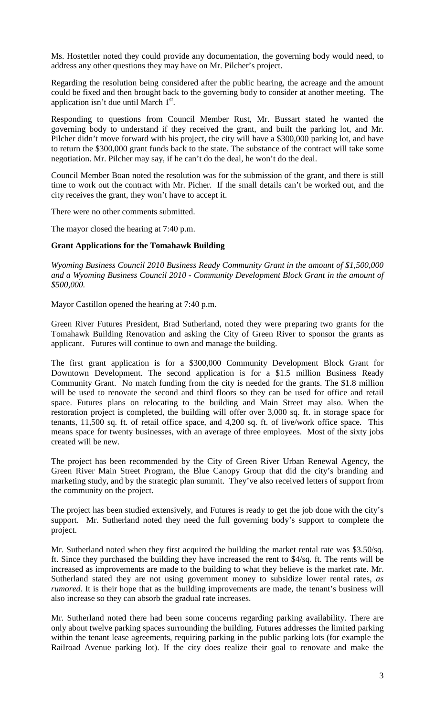Ms. Hostettler noted they could provide any documentation, the governing body would need, to address any other questions they may have on Mr. Pilcher's project.

Regarding the resolution being considered after the public hearing, the acreage and the amount could be fixed and then brought back to the governing body to consider at another meeting. The application isn't due until March  $1<sup>st</sup>$ .

Responding to questions from Council Member Rust, Mr. Bussart stated he wanted the governing body to understand if they received the grant, and built the parking lot, and Mr. Pilcher didn't move forward with his project, the city will have a \$300,000 parking lot, and have to return the \$300,000 grant funds back to the state. The substance of the contract will take some negotiation. Mr. Pilcher may say, if he can't do the deal, he won't do the deal.

Council Member Boan noted the resolution was for the submission of the grant, and there is still time to work out the contract with Mr. Picher. If the small details can't be worked out, and the city receives the grant, they won't have to accept it.

There were no other comments submitted.

The mayor closed the hearing at 7:40 p.m.

## **Grant Applications for the Tomahawk Building**

*Wyoming Business Council 2010 Business Ready Community Grant in the amount of \$1,500,000 and a Wyoming Business Council 2010 - Community Development Block Grant in the amount of \$500,000.*

Mayor Castillon opened the hearing at 7:40 p.m.

Green River Futures President, Brad Sutherland, noted they were preparing two grants for the Tomahawk Building Renovation and asking the City of Green River to sponsor the grants as applicant. Futures will continue to own and manage the building.

The first grant application is for a \$300,000 Community Development Block Grant for Downtown Development. The second application is for a \$1.5 million Business Ready Community Grant. No match funding from the city is needed for the grants. The \$1.8 million will be used to renovate the second and third floors so they can be used for office and retail space. Futures plans on relocating to the building and Main Street may also. When the restoration project is completed, the building will offer over 3,000 sq. ft. in storage space for tenants, 11,500 sq. ft. of retail office space, and 4,200 sq. ft. of live/work office space. This means space for twenty businesses, with an average of three employees. Most of the sixty jobs created will be new.

The project has been recommended by the City of Green River Urban Renewal Agency, the Green River Main Street Program, the Blue Canopy Group that did the city's branding and marketing study, and by the strategic plan summit. They've also received letters of support from the community on the project.

The project has been studied extensively, and Futures is ready to get the job done with the city's support. Mr. Sutherland noted they need the full governing body's support to complete the project.

Mr. Sutherland noted when they first acquired the building the market rental rate was \$3.50/sq. ft. Since they purchased the building they have increased the rent to \$4/sq. ft. The rents will be increased as improvements are made to the building to what they believe is the market rate. Mr. Sutherland stated they are not using government money to subsidize lower rental rates, *as rumored*. It is their hope that as the building improvements are made, the tenant's business will also increase so they can absorb the gradual rate increases.

Mr. Sutherland noted there had been some concerns regarding parking availability. There are only about twelve parking spaces surrounding the building. Futures addresses the limited parking within the tenant lease agreements, requiring parking in the public parking lots (for example the Railroad Avenue parking lot). If the city does realize their goal to renovate and make the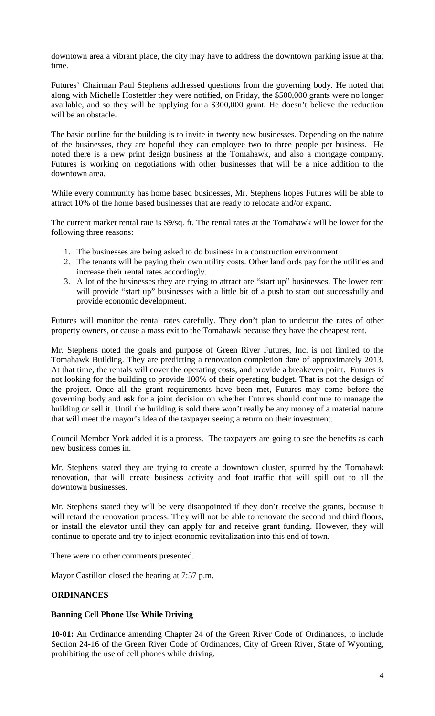downtown area a vibrant place, the city may have to address the downtown parking issue at that time.

Futures' Chairman Paul Stephens addressed questions from the governing body. He noted that along with Michelle Hostettler they were notified, on Friday, the \$500,000 grants were no longer available, and so they will be applying for a \$300,000 grant. He doesn't believe the reduction will be an obstacle.

The basic outline for the building is to invite in twenty new businesses. Depending on the nature of the businesses, they are hopeful they can employee two to three people per business. He noted there is a new print design business at the Tomahawk, and also a mortgage company. Futures is working on negotiations with other businesses that will be a nice addition to the downtown area.

While every community has home based businesses, Mr. Stephens hopes Futures will be able to attract 10% of the home based businesses that are ready to relocate and/or expand.

The current market rental rate is \$9/sq. ft. The rental rates at the Tomahawk will be lower for the following three reasons:

- 1. The businesses are being asked to do business in a construction environment
- 2. The tenants will be paying their own utility costs. Other landlords pay for the utilities and increase their rental rates accordingly.
- 3. A lot of the businesses they are trying to attract are "start up" businesses. The lower rent will provide "start up" businesses with a little bit of a push to start out successfully and provide economic development.

Futures will monitor the rental rates carefully. They don't plan to undercut the rates of other property owners, or cause a mass exit to the Tomahawk because they have the cheapest rent.

Mr. Stephens noted the goals and purpose of Green River Futures, Inc. is not limited to the Tomahawk Building. They are predicting a renovation completion date of approximately 2013. At that time, the rentals will cover the operating costs, and provide a breakeven point. Futures is not looking for the building to provide 100% of their operating budget. That is not the design of the project. Once all the grant requirements have been met, Futures may come before the governing body and ask for a joint decision on whether Futures should continue to manage the building or sell it. Until the building is sold there won't really be any money of a material nature that will meet the mayor's idea of the taxpayer seeing a return on their investment.

Council Member York added it is a process. The taxpayers are going to see the benefits as each new business comes in.

Mr. Stephens stated they are trying to create a downtown cluster, spurred by the Tomahawk renovation, that will create business activity and foot traffic that will spill out to all the downtown businesses.

Mr. Stephens stated they will be very disappointed if they don't receive the grants, because it will retard the renovation process. They will not be able to renovate the second and third floors, or install the elevator until they can apply for and receive grant funding. However, they will continue to operate and try to inject economic revitalization into this end of town.

There were no other comments presented.

Mayor Castillon closed the hearing at 7:57 p.m.

# **ORDINANCES**

## **Banning Cell Phone Use While Driving**

**10-01:** An Ordinance amending Chapter 24 of the Green River Code of Ordinances, to include Section 24-16 of the Green River Code of Ordinances, City of Green River, State of Wyoming, prohibiting the use of cell phones while driving.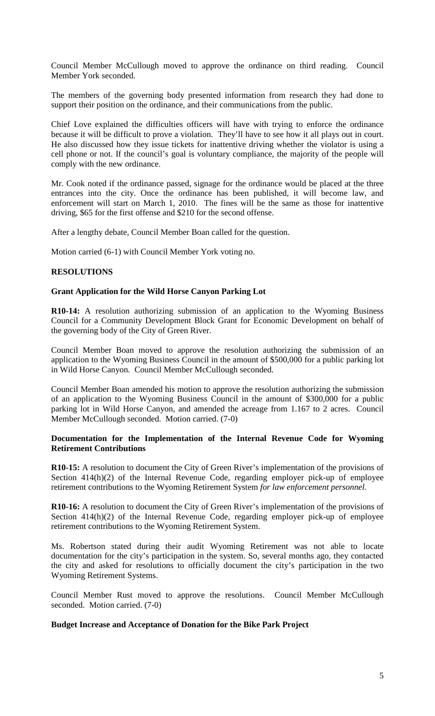Council Member McCullough moved to approve the ordinance on third reading. Council Member York seconded.

The members of the governing body presented information from research they had done to support their position on the ordinance, and their communications from the public.

Chief Love explained the difficulties officers will have with trying to enforce the ordinance because it will be difficult to prove a violation. They'll have to see how it all plays out in court. He also discussed how they issue tickets for inattentive driving whether the violator is using a cell phone or not. If the council's goal is voluntary compliance, the majority of the people will comply with the new ordinance.

Mr. Cook noted if the ordinance passed, signage for the ordinance would be placed at the three entrances into the city. Once the ordinance has been published, it will become law, and enforcement will start on March 1, 2010. The fines will be the same as those for inattentive driving, \$65 for the first offense and \$210 for the second offense.

After a lengthy debate, Council Member Boan called for the question.

Motion carried (6-1) with Council Member York voting no.

#### **RESOLUTIONS**

#### **Grant Application for the Wild Horse Canyon Parking Lot**

**R10-14:** A resolution authorizing submission of an application to the Wyoming Business Council for a Community Development Block Grant for Economic Development on behalf of the governing body of the City of Green River.

Council Member Boan moved to approve the resolution authorizing the submission of an application to the Wyoming Business Council in the amount of \$500,000 for a public parking lot in Wild Horse Canyon. Council Member McCullough seconded.

Council Member Boan amended his motion to approve the resolution authorizing the submission of an application to the Wyoming Business Council in the amount of \$300,000 for a public parking lot in Wild Horse Canyon, and amended the acreage from 1.167 to 2 acres. Council Member McCullough seconded. Motion carried. (7-0)

## **Documentation for the Implementation of the Internal Revenue Code for Wyoming Retirement Contributions**

**R10-15:** A resolution to document the City of Green River's implementation of the provisions of Section 414(h)(2) of the Internal Revenue Code, regarding employer pick-up of employee retirement contributions to the Wyoming Retirement System *for law enforcement personnel.*

**R10-16:** A resolution to document the City of Green River's implementation of the provisions of Section 414(h)(2) of the Internal Revenue Code, regarding employer pick-up of employee retirement contributions to the Wyoming Retirement System.

Ms. Robertson stated during their audit Wyoming Retirement was not able to locate documentation for the city's participation in the system. So, several months ago, they contacted the city and asked for resolutions to officially document the city's participation in the two Wyoming Retirement Systems.

Council Member Rust moved to approve the resolutions. Council Member McCullough seconded. Motion carried. (7-0)

#### **Budget Increase and Acceptance of Donation for the Bike Park Project**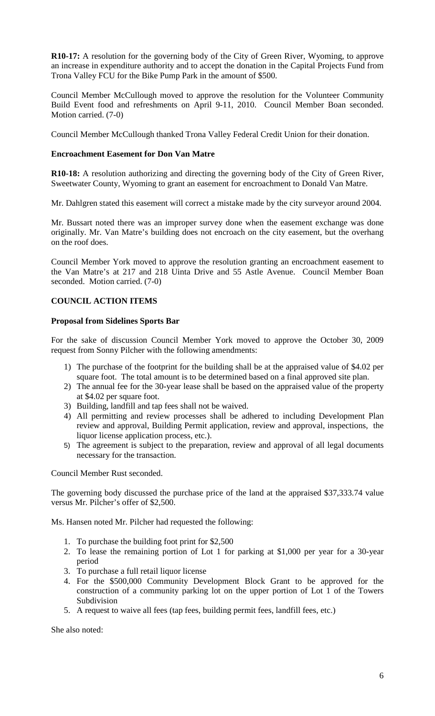**R10-17:** A resolution for the governing body of the City of Green River, Wyoming, to approve an increase in expenditure authority and to accept the donation in the Capital Projects Fund from Trona Valley FCU for the Bike Pump Park in the amount of \$500.

Council Member McCullough moved to approve the resolution for the Volunteer Community Build Event food and refreshments on April 9-11, 2010. Council Member Boan seconded. Motion carried. (7-0)

Council Member McCullough thanked Trona Valley Federal Credit Union for their donation.

# **Encroachment Easement for Don Van Matre**

**R10-18:** A resolution authorizing and directing the governing body of the City of Green River, Sweetwater County, Wyoming to grant an easement for encroachment to Donald Van Matre.

Mr. Dahlgren stated this easement will correct a mistake made by the city surveyor around 2004.

Mr. Bussart noted there was an improper survey done when the easement exchange was done originally. Mr. Van Matre's building does not encroach on the city easement, but the overhang on the roof does.

Council Member York moved to approve the resolution granting an encroachment easement to the Van Matre's at 217 and 218 Uinta Drive and 55 Astle Avenue. Council Member Boan seconded. Motion carried. (7-0)

## **COUNCIL ACTION ITEMS**

## **Proposal from Sidelines Sports Bar**

For the sake of discussion Council Member York moved to approve the October 30, 2009 request from Sonny Pilcher with the following amendments:

- 1) The purchase of the footprint for the building shall be at the appraised value of \$4.02 per square foot. The total amount is to be determined based on a final approved site plan.
- 2) The annual fee for the 30-year lease shall be based on the appraised value of the property at \$4.02 per square foot.
- 3) Building, landfill and tap fees shall not be waived.
- 4) All permitting and review processes shall be adhered to including Development Plan review and approval, Building Permit application, review and approval, inspections, the liquor license application process, etc.).
- 5) The agreement is subject to the preparation, review and approval of all legal documents necessary for the transaction.

Council Member Rust seconded.

The governing body discussed the purchase price of the land at the appraised \$37,333.74 value versus Mr. Pilcher's offer of \$2,500.

Ms. Hansen noted Mr. Pilcher had requested the following:

- 1. To purchase the building foot print for \$2,500
- 2. To lease the remaining portion of Lot 1 for parking at \$1,000 per year for a 30-year period
- 3. To purchase a full retail liquor license
- 4. For the \$500,000 Community Development Block Grant to be approved for the construction of a community parking lot on the upper portion of Lot 1 of the Towers Subdivision
- 5. A request to waive all fees (tap fees, building permit fees, landfill fees, etc.)

She also noted: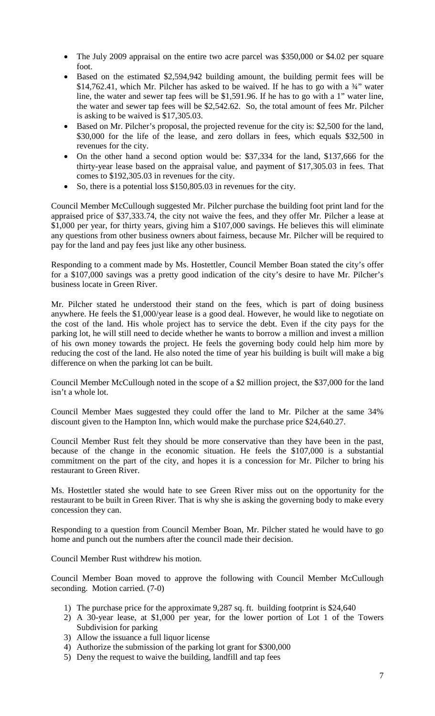- The July 2009 appraisal on the entire two acre parcel was \$350,000 or \$4.02 per square foot.
- Based on the estimated \$2,594,942 building amount, the building permit fees will be  $$14,762.41$ , which Mr. Pilcher has asked to be waived. If he has to go with a  $\frac{3}{4}$ " water line, the water and sewer tap fees will be \$1,591.96. If he has to go with a 1" water line, the water and sewer tap fees will be \$2,542.62. So, the total amount of fees Mr. Pilcher is asking to be waived is \$17,305.03.
- Based on Mr. Pilcher's proposal, the projected revenue for the city is: \$2,500 for the land, \$30,000 for the life of the lease, and zero dollars in fees, which equals \$32,500 in revenues for the city.
- On the other hand a second option would be: \$37,334 for the land, \$137,666 for the thirty-year lease based on the appraisal value, and payment of \$17,305.03 in fees. That comes to \$192,305.03 in revenues for the city.
- So, there is a potential loss \$150,805.03 in revenues for the city.

Council Member McCullough suggested Mr. Pilcher purchase the building foot print land for the appraised price of \$37,333.74, the city not waive the fees, and they offer Mr. Pilcher a lease at \$1,000 per year, for thirty years, giving him a \$107,000 savings. He believes this will eliminate any questions from other business owners about fairness, because Mr. Pilcher will be required to pay for the land and pay fees just like any other business.

Responding to a comment made by Ms. Hostettler, Council Member Boan stated the city's offer for a \$107,000 savings was a pretty good indication of the city's desire to have Mr. Pilcher's business locate in Green River.

Mr. Pilcher stated he understood their stand on the fees, which is part of doing business anywhere. He feels the \$1,000/year lease is a good deal. However, he would like to negotiate on the cost of the land. His whole project has to service the debt. Even if the city pays for the parking lot, he will still need to decide whether he wants to borrow a million and invest a million of his own money towards the project. He feels the governing body could help him more by reducing the cost of the land. He also noted the time of year his building is built will make a big difference on when the parking lot can be built.

Council Member McCullough noted in the scope of a \$2 million project, the \$37,000 for the land isn't a whole lot.

Council Member Maes suggested they could offer the land to Mr. Pilcher at the same 34% discount given to the Hampton Inn, which would make the purchase price \$24,640.27.

Council Member Rust felt they should be more conservative than they have been in the past, because of the change in the economic situation. He feels the \$107,000 is a substantial commitment on the part of the city, and hopes it is a concession for Mr. Pilcher to bring his restaurant to Green River.

Ms. Hostettler stated she would hate to see Green River miss out on the opportunity for the restaurant to be built in Green River. That is why she is asking the governing body to make every concession they can.

Responding to a question from Council Member Boan, Mr. Pilcher stated he would have to go home and punch out the numbers after the council made their decision.

Council Member Rust withdrew his motion.

Council Member Boan moved to approve the following with Council Member McCullough seconding. Motion carried. (7-0)

- 1) The purchase price for the approximate 9,287 sq. ft. building footprint is \$24,640
- 2) A 30-year lease, at \$1,000 per year, for the lower portion of Lot 1 of the Towers Subdivision for parking
- 3) Allow the issuance a full liquor license
- 4) Authorize the submission of the parking lot grant for \$300,000
- 5) Deny the request to waive the building, landfill and tap fees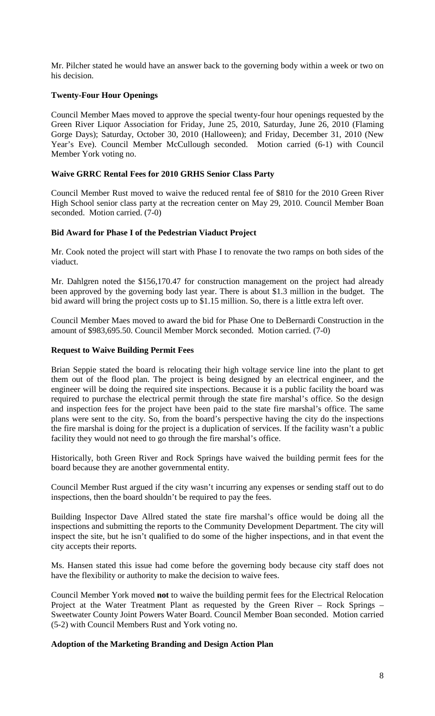Mr. Pilcher stated he would have an answer back to the governing body within a week or two on his decision.

# **Twenty-Four Hour Openings**

Council Member Maes moved to approve the special twenty-four hour openings requested by the Green River Liquor Association for Friday, June 25, 2010, Saturday, June 26, 2010 (Flaming Gorge Days); Saturday, October 30, 2010 (Halloween); and Friday, December 31, 2010 (New Year's Eve). Council Member McCullough seconded. Motion carried (6-1) with Council Member York voting no.

# **Waive GRRC Rental Fees for 2010 GRHS Senior Class Party**

Council Member Rust moved to waive the reduced rental fee of \$810 for the 2010 Green River High School senior class party at the recreation center on May 29, 2010. Council Member Boan seconded. Motion carried. (7-0)

## **Bid Award for Phase I of the Pedestrian Viaduct Project**

Mr. Cook noted the project will start with Phase I to renovate the two ramps on both sides of the viaduct.

Mr. Dahlgren noted the \$156,170.47 for construction management on the project had already been approved by the governing body last year. There is about \$1.3 million in the budget. The bid award will bring the project costs up to \$1.15 million. So, there is a little extra left over.

Council Member Maes moved to award the bid for Phase One to DeBernardi Construction in the amount of \$983,695.50. Council Member Morck seconded. Motion carried. (7-0)

## **Request to Waive Building Permit Fees**

Brian Seppie stated the board is relocating their high voltage service line into the plant to get them out of the flood plan. The project is being designed by an electrical engineer, and the engineer will be doing the required site inspections. Because it is a public facility the board was required to purchase the electrical permit through the state fire marshal's office. So the design and inspection fees for the project have been paid to the state fire marshal's office. The same plans were sent to the city. So, from the board's perspective having the city do the inspections the fire marshal is doing for the project is a duplication of services. If the facility wasn't a public facility they would not need to go through the fire marshal's office.

Historically, both Green River and Rock Springs have waived the building permit fees for the board because they are another governmental entity.

Council Member Rust argued if the city wasn't incurring any expenses or sending staff out to do inspections, then the board shouldn't be required to pay the fees.

Building Inspector Dave Allred stated the state fire marshal's office would be doing all the inspections and submitting the reports to the Community Development Department. The city will inspect the site, but he isn't qualified to do some of the higher inspections, and in that event the city accepts their reports.

Ms. Hansen stated this issue had come before the governing body because city staff does not have the flexibility or authority to make the decision to waive fees.

Council Member York moved **not** to waive the building permit fees for the Electrical Relocation Project at the Water Treatment Plant as requested by the Green River – Rock Springs – Sweetwater County Joint Powers Water Board. Council Member Boan seconded. Motion carried (5-2) with Council Members Rust and York voting no.

## **Adoption of the Marketing Branding and Design Action Plan**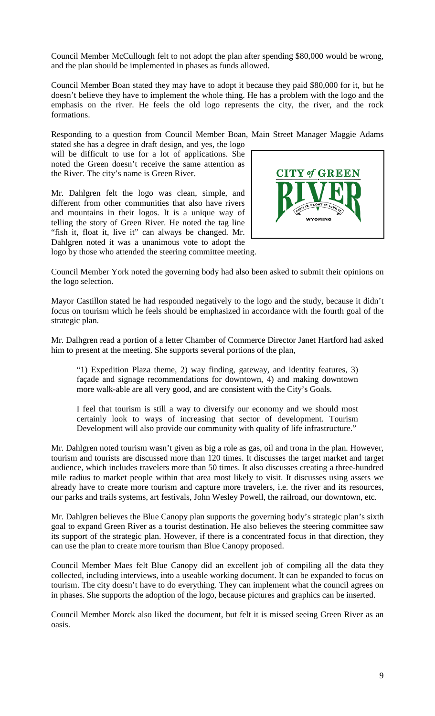Council Member McCullough felt to not adopt the plan after spending \$80,000 would be wrong, and the plan should be implemented in phases as funds allowed.

Council Member Boan stated they may have to adopt it because they paid \$80,000 for it, but he doesn't believe they have to implement the whole thing. He has a problem with the logo and the emphasis on the river. He feels the old logo represents the city, the river, and the rock formations.

Responding to a question from Council Member Boan, Main Street Manager Maggie Adams stated she has a degree in draft design, and yes, the logo

will be difficult to use for a lot of applications. She noted the Green doesn't receive the same attention as the River. The city's name is Green River.

Mr. Dahlgren felt the logo was clean, simple, and different from other communities that also have rivers and mountains in their logos. It is a unique way of telling the story of Green River. He noted the tag line "fish it, float it, live it" can always be changed. Mr. Dahlgren noted it was a unanimous vote to adopt the logo by those who attended the steering committee meeting.



Council Member York noted the governing body had also been asked to submit their opinions on the logo selection.

Mayor Castillon stated he had responded negatively to the logo and the study, because it didn't focus on tourism which he feels should be emphasized in accordance with the fourth goal of the strategic plan.

Mr. Dalhgren read a portion of a letter Chamber of Commerce Director Janet Hartford had asked him to present at the meeting. She supports several portions of the plan,

"1) Expedition Plaza theme, 2) way finding, gateway, and identity features, 3) façade and signage recommendations for downtown, 4) and making downtown more walk-able are all very good, and are consistent with the City's Goals.

I feel that tourism is still a way to diversify our economy and we should most certainly look to ways of increasing that sector of development. Tourism Development will also provide our community with quality of life infrastructure."

Mr. Dahlgren noted tourism wasn't given as big a role as gas, oil and trona in the plan. However, tourism and tourists are discussed more than 120 times. It discusses the target market and target audience, which includes travelers more than 50 times. It also discusses creating a three-hundred mile radius to market people within that area most likely to visit. It discusses using assets we already have to create more tourism and capture more travelers, i.e. the river and its resources, our parks and trails systems, art festivals, John Wesley Powell, the railroad, our downtown, etc.

Mr. Dahlgren believes the Blue Canopy plan supports the governing body's strategic plan's sixth goal to expand Green River as a tourist destination. He also believes the steering committee saw its support of the strategic plan. However, if there is a concentrated focus in that direction, they can use the plan to create more tourism than Blue Canopy proposed.

Council Member Maes felt Blue Canopy did an excellent job of compiling all the data they collected, including interviews, into a useable working document. It can be expanded to focus on tourism. The city doesn't have to do everything. They can implement what the council agrees on in phases. She supports the adoption of the logo, because pictures and graphics can be inserted.

Council Member Morck also liked the document, but felt it is missed seeing Green River as an oasis.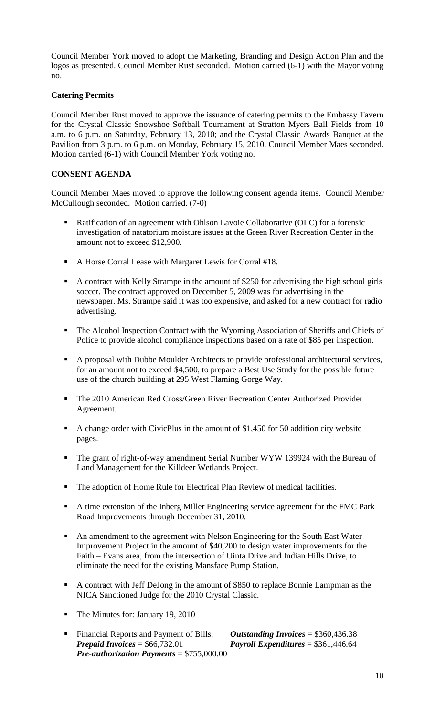Council Member York moved to adopt the Marketing, Branding and Design Action Plan and the logos as presented. Council Member Rust seconded. Motion carried (6-1) with the Mayor voting no.

# **Catering Permits**

Council Member Rust moved to approve the issuance of catering permits to the Embassy Tavern for the Crystal Classic Snowshoe Softball Tournament at Stratton Myers Ball Fields from 10 a.m. to 6 p.m. on Saturday, February 13, 2010; and the Crystal Classic Awards Banquet at the Pavilion from 3 p.m. to 6 p.m. on Monday, February 15, 2010. Council Member Maes seconded. Motion carried (6-1) with Council Member York voting no.

# **CONSENT AGENDA**

Council Member Maes moved to approve the following consent agenda items. Council Member McCullough seconded. Motion carried. (7-0)

- Ratification of an agreement with Ohlson Lavoie Collaborative (OLC) for a forensic investigation of natatorium moisture issues at the Green River Recreation Center in the amount not to exceed \$12,900.
- A Horse Corral Lease with Margaret Lewis for Corral #18.
- A contract with Kelly Strampe in the amount of \$250 for advertising the high school girls soccer. The contract approved on December 5, 2009 was for advertising in the newspaper. Ms. Strampe said it was too expensive, and asked for a new contract for radio advertising.
- The Alcohol Inspection Contract with the Wyoming Association of Sheriffs and Chiefs of Police to provide alcohol compliance inspections based on a rate of \$85 per inspection.
- A proposal with Dubbe Moulder Architects to provide professional architectural services, for an amount not to exceed \$4,500, to prepare a Best Use Study for the possible future use of the church building at 295 West Flaming Gorge Way.
- The 2010 American Red Cross/Green River Recreation Center Authorized Provider Agreement.
- A change order with CivicPlus in the amount of \$1,450 for 50 addition city website pages.
- The grant of right-of-way amendment Serial Number WYW 139924 with the Bureau of Land Management for the Killdeer Wetlands Project.
- The adoption of Home Rule for Electrical Plan Review of medical facilities.
- A time extension of the Inberg Miller Engineering service agreement for the FMC Park Road Improvements through December 31, 2010.
- An amendment to the agreement with Nelson Engineering for the South East Water Improvement Project in the amount of \$40,200 to design water improvements for the Faith – Evans area, from the intersection of Uinta Drive and Indian Hills Drive, to eliminate the need for the existing Mansface Pump Station.
- A contract with Jeff DeJong in the amount of \$850 to replace Bonnie Lampman as the NICA Sanctioned Judge for the 2010 Crystal Classic.
- The Minutes for: January 19, 2010
- Financial Reports and Payment of Bills: *Outstanding Invoices* = \$360,436.38 *Prepaid Invoices* = \$66,732.01 *Payroll Expenditures* = \$361,446.64 *Pre-authorization Payments* = \$755,000.00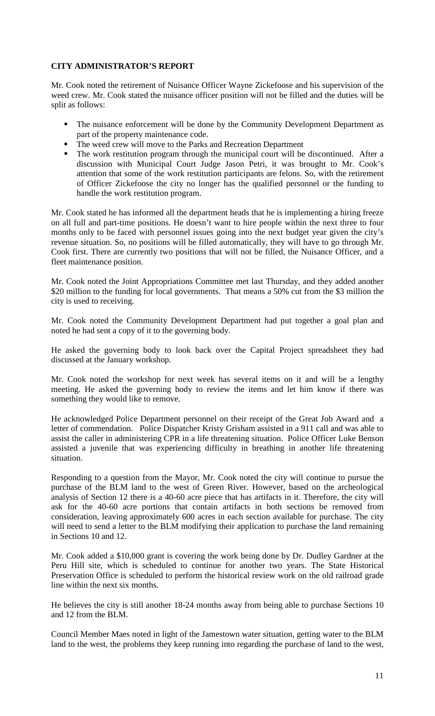# **CITY ADMINISTRATOR'S REPORT**

Mr. Cook noted the retirement of Nuisance Officer Wayne Zickefoose and his supervision of the weed crew. Mr. Cook stated the nuisance officer position will not be filled and the duties will be split as follows:

- The nuisance enforcement will be done by the Community Development Department as part of the property maintenance code.
- The weed crew will move to the Parks and Recreation Department
- The work restitution program through the municipal court will be discontinued. After a discussion with Municipal Court Judge Jason Petri, it was brought to Mr. Cook's attention that some of the work restitution participants are felons. So, with the retirement of Officer Zickefoose the city no longer has the qualified personnel or the funding to handle the work restitution program.

Mr. Cook stated he has informed all the department heads that he is implementing a hiring freeze on all full and part-time positions. He doesn't want to hire people within the next three to four months only to be faced with personnel issues going into the next budget year given the city's revenue situation. So, no positions will be filled automatically, they will have to go through Mr. Cook first. There are currently two positions that will not be filled, the Nuisance Officer, and a fleet maintenance position.

Mr. Cook noted the Joint Appropriations Committee met last Thursday, and they added another \$20 million to the funding for local governments. That means a 50% cut from the \$3 million the city is used to receiving.

Mr. Cook noted the Community Development Department had put together a goal plan and noted he had sent a copy of it to the governing body.

He asked the governing body to look back over the Capital Project spreadsheet they had discussed at the January workshop.

Mr. Cook noted the workshop for next week has several items on it and will be a lengthy meeting. He asked the governing body to review the items and let him know if there was something they would like to remove.

He acknowledged Police Department personnel on their receipt of the Great Job Award and a letter of commendation. Police Dispatcher Kristy Grisham assisted in a 911 call and was able to assist the caller in administering CPR in a life threatening situation. Police Officer Luke Benson assisted a juvenile that was experiencing difficulty in breathing in another life threatening situation.

Responding to a question from the Mayor, Mr. Cook noted the city will continue to pursue the purchase of the BLM land to the west of Green River. However, based on the archeological analysis of Section 12 there is a 40-60 acre piece that has artifacts in it. Therefore, the city will ask for the 40-60 acre portions that contain artifacts in both sections be removed from consideration, leaving approximately 600 acres in each section available for purchase. The city will need to send a letter to the BLM modifying their application to purchase the land remaining in Sections 10 and 12.

Mr. Cook added a \$10,000 grant is covering the work being done by Dr. Dudley Gardner at the Peru Hill site, which is scheduled to continue for another two years. The State Historical Preservation Office is scheduled to perform the historical review work on the old railroad grade line within the next six months.

He believes the city is still another 18-24 months away from being able to purchase Sections 10 and 12 from the BLM.

Council Member Maes noted in light of the Jamestown water situation, getting water to the BLM land to the west, the problems they keep running into regarding the purchase of land to the west,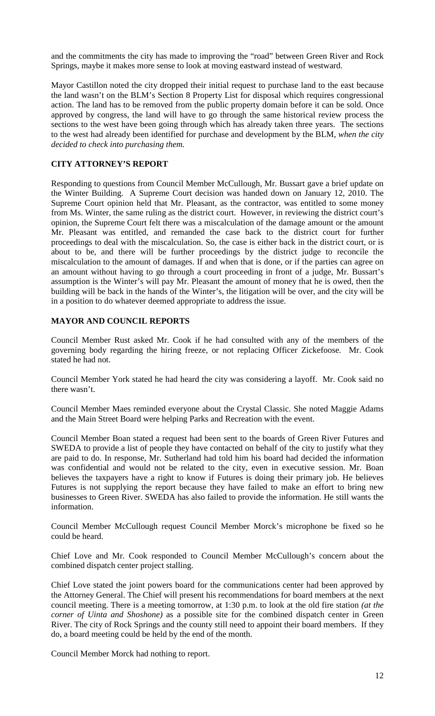and the commitments the city has made to improving the "road" between Green River and Rock Springs, maybe it makes more sense to look at moving eastward instead of westward.

Mayor Castillon noted the city dropped their initial request to purchase land to the east because the land wasn't on the BLM's Section 8 Property List for disposal which requires congressional action. The land has to be removed from the public property domain before it can be sold. Once approved by congress, the land will have to go through the same historical review process the sections to the west have been going through which has already taken three years. The sections to the west had already been identified for purchase and development by the BLM, *when the city decided to check into purchasing them.*

# **CITY ATTORNEY'S REPORT**

Responding to questions from Council Member McCullough, Mr. Bussart gave a brief update on the Winter Building. A Supreme Court decision was handed down on January 12, 2010. The Supreme Court opinion held that Mr. Pleasant, as the contractor, was entitled to some money from Ms. Winter, the same ruling as the district court. However, in reviewing the district court's opinion, the Supreme Court felt there was a miscalculation of the damage amount or the amount Mr. Pleasant was entitled, and remanded the case back to the district court for further proceedings to deal with the miscalculation. So, the case is either back in the district court, or is about to be, and there will be further proceedings by the district judge to reconcile the miscalculation to the amount of damages. If and when that is done, or if the parties can agree on an amount without having to go through a court proceeding in front of a judge, Mr. Bussart's assumption is the Winter's will pay Mr. Pleasant the amount of money that he is owed, then the building will be back in the hands of the Winter's, the litigation will be over, and the city will be in a position to do whatever deemed appropriate to address the issue.

## **MAYOR AND COUNCIL REPORTS**

Council Member Rust asked Mr. Cook if he had consulted with any of the members of the governing body regarding the hiring freeze, or not replacing Officer Zickefoose. Mr. Cook stated he had not.

Council Member York stated he had heard the city was considering a layoff. Mr. Cook said no there wasn't.

Council Member Maes reminded everyone about the Crystal Classic. She noted Maggie Adams and the Main Street Board were helping Parks and Recreation with the event.

Council Member Boan stated a request had been sent to the boards of Green River Futures and SWEDA to provide a list of people they have contacted on behalf of the city to justify what they are paid to do. In response, Mr. Sutherland had told him his board had decided the information was confidential and would not be related to the city, even in executive session. Mr. Boan believes the taxpayers have a right to know if Futures is doing their primary job. He believes Futures is not supplying the report because they have failed to make an effort to bring new businesses to Green River. SWEDA has also failed to provide the information. He still wants the information.

Council Member McCullough request Council Member Morck's microphone be fixed so he could be heard.

Chief Love and Mr. Cook responded to Council Member McCullough's concern about the combined dispatch center project stalling.

Chief Love stated the joint powers board for the communications center had been approved by the Attorney General. The Chief will present his recommendations for board members at the next council meeting. There is a meeting tomorrow, at 1:30 p.m. to look at the old fire station *(at the corner of Uinta and Shoshone)* as a possible site for the combined dispatch center in Green River. The city of Rock Springs and the county still need to appoint their board members. If they do, a board meeting could be held by the end of the month.

Council Member Morck had nothing to report.